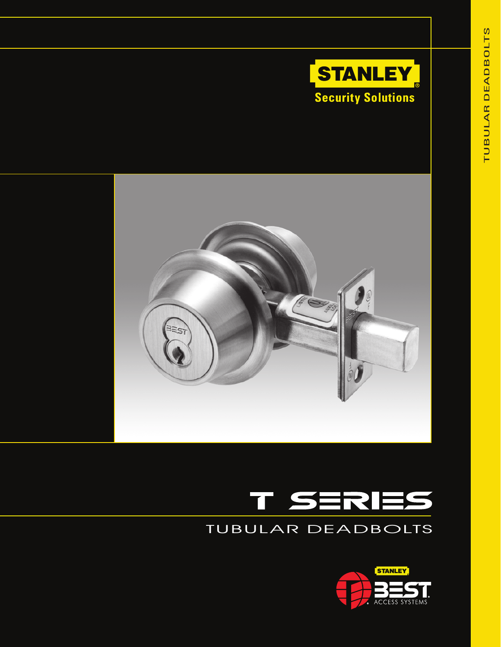





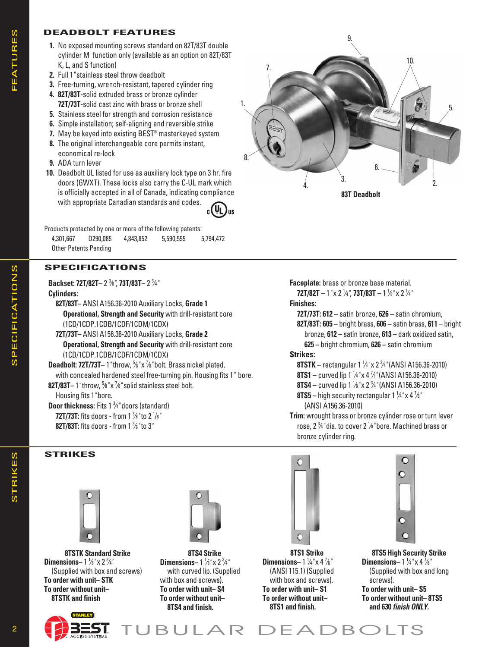### **DEADBOLT FEATURES**

- **1.** No exposed mounting screws standard on 82T/83T double cylinder M function only (available as an option on 82T/83T K, L, and S function)
- **2.** Full 1*"* stainless steel throw deadbolt
- **3.** Free-turning, wrench-resistant, tapered cylinder ring
- **4. 82T/83T-**solid extruded brass or bronze cylinder **72T/73T-**solid cast zinc with brass or bronze shell
- **5.** Stainless steel for strength and corrosion resistance
- **6.** Simple installation; self-aligning and reversible strike
- **7.** May be keyed into existing BEST® masterkeyed system
- **8.** The original interchangeable core permits instant, economical re-lock
- **9.** ADA turn lever
- **10.** Deadbolt UL listed for use as auxiliary lock type on 3 hr. fire doors (GWXT). These locks also carry the C-UL mark which is officially accepted in all of Canada, indicating compliance with appropriate Canadian standards and codes.

Products protected by one or more of the following patents: 4,301,667 D290,085 4,843,852 5,590,555 5,794,472 Other Patents Pending

# **SPECIFICATIONS**

**Backset: 72T/82T–** 2 3 ⁄8*"*, **73T/83T–** 2 3 ⁄4*"*

**Cylinders:** 

 **82T/83T–** ANSI A156.36-2010 Auxiliary Locks, **Grade 1 Operational, Strength and Security** with drill-resistant core (1CD/1CDP.1CDB/1CDF/1CDM/1CDX)

 **72T/73T–** ANSI A156.36-2010 Auxiliary Locks, **Grade 2 Operational, Strength and Security** with drill-resistant core (1CD/1CDP.1CDB/1CDF/1CDM/1CDX)

**Deadbolt: 72T/73T–** 1*"* throw, 5 ⁄8*"* x 7 ⁄8*"* bolt. Brass nickel plated, with concealed hardened steel free-turning pin. Housing fits 1*"* bore. **82T/83T–** 1*"* throw, 5 ⁄8*"* x 7 ⁄8*"* solid stainless steel bolt.

Housing fits 1*"* bore.

**Door thickness:** Fits 1 3 ⁄4*"* doors (standard) **72T/73T:** fits doors - from 1 3 ⁄8*"* to 2 1 /8*"* **82T/83T:** fits doors - from 1 3 ⁄8*"* to 3*"*

### **STRIKES**



**8TSTK Standard Strike Dimensions**–  $1\frac{1}{8}$ " x  $2\frac{3}{4}$ " (Supplied with box and screws) **To order with unit– STK** To order without unit- **8TSTK and finish**





**8TS4 Strike Dimensions**–  $1\frac{1}{8}$ " x  $2\frac{3}{4}$ " with curved lip. (Supplied with box and screws). **To order with unit– S4** To order without unit- **8TS4 and finish.**



**Faceplate:** brass or bronze base material.

**72T/82T –** 1*"* x 2 1 ⁄4*"*, **73T/83T –** 1 <sup>1</sup> ⁄8*"* x 2 <sup>1</sup> ⁄4*"*

### **Finishes:**

 **72T/73T: 612 –** satin bronze, **626 –** satin chromium,

- **82T/83T: 605 –** bright brass, **606 –** satin brass, 611 bright bronze, **612 –** satin bronze, **613 –** dark oxidized satin,
- **625 –** bright chromium, **626 –** satin chro mi um **Strikes:**
- **8TSTK –** rectangular 1 1 ⁄8*"* x 2 3 ⁄4*"* (ANSI A156.36-2010)
- **8TS1 –** curved lip 1 1 ⁄4*"* x 4 7 ⁄8*"* (ANSI A156.36-2010)
- **8TS4 –** curved lip 1 1 ⁄8*"* x 2 3 ⁄4*"* (ANSI A156.36-2010)
- **8TS5 –** high security rectangular 1 1 ⁄4*"* x 4 7 ⁄8*"*
	- (ANSI A156.36-2010)
- **Trim:** wrought brass or bronze cylinder rose or turn lever rose, 2 3 ⁄4*"* dia. to cover 2 1 ⁄8*"* bore. Machined brass or bronze cylinder ring.



**8TS1 Strike Dimensions** –  $1\frac{1}{4}$  "x 4  $\frac{7}{8}$ " (ANSI 115.1) (Supplied with box and screws). **To order with unit– S1** To order without unit- **8TS1 and finish.**



**8TS5 High Security Strike Dimensions** –  $1\frac{1}{4}$  "x 4  $\frac{7}{8}$ " (Supplied with box and long screws). **To order with unit– S5**

**To order without unit–8TS5 and 630** *finish ONLY.*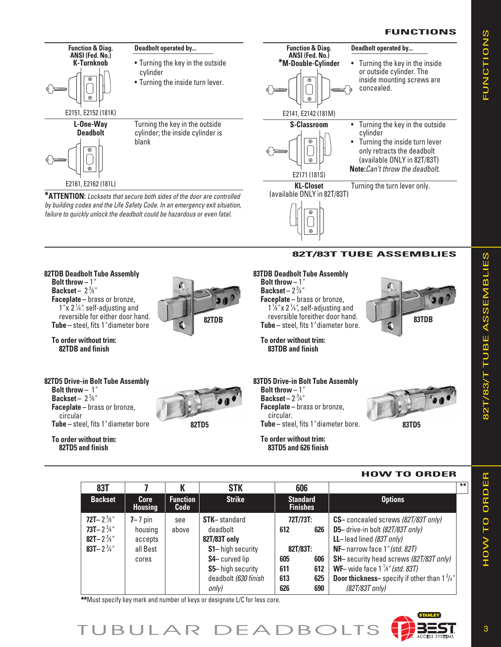### **FUNCTIONS**

FUNCTIONS

**FUNCTIONS** 



| 83T                                                                                                                  |                                                        |                         | <b>STK</b>                                                                                                                                                       | 606                                                                                        |  |                                                                                                                                                                                                                                                                                                                                         | $***$ |
|----------------------------------------------------------------------------------------------------------------------|--------------------------------------------------------|-------------------------|------------------------------------------------------------------------------------------------------------------------------------------------------------------|--------------------------------------------------------------------------------------------|--|-----------------------------------------------------------------------------------------------------------------------------------------------------------------------------------------------------------------------------------------------------------------------------------------------------------------------------------------|-------|
| <b>Backset</b>                                                                                                       | <b>Core</b><br><b>Housing</b>                          | <b>Function</b><br>Code | <b>Strike</b>                                                                                                                                                    | <b>Standard</b><br><b>Finishes</b>                                                         |  | <b>Options</b>                                                                                                                                                                                                                                                                                                                          |       |
| 72T-2 <sup>3</sup> / <sub>8</sub> "<br>73T-2 $3/4$ "<br>82T-2 <sup>3</sup> / <sub>8</sub> "<br>83T-2 $\frac{3}{4}$ " | $7 - 7$ pin<br>housing<br>accepts<br>all Best<br>cores | see<br>above            | <b>STK-standard</b><br>deadbolt<br>82T/83T only<br><b>S1-</b> high security<br><b>S4-curved lip</b><br><b>S5-</b> high security<br>deadbolt (630 finish<br>only) | 72T/73T:<br>626<br>612<br>82T/83T:<br>606<br>605<br>612<br>611<br>625<br>613<br>690<br>626 |  | CS-concealed screws (82T/83T only)<br>D5- drive-in bolt (82T/83T only)<br>LL-lead lined $(83T \text{ only})$<br>NF-narrow face 1" (std. 82T)<br><b>SH-</b> security head screws (82T/83T only)<br><b>WF-</b> wide face $1\frac{1}{8}$ " (std. 83T)<br><b>Door thickness</b> -specify if other than $1\frac{3}{4}$ "<br>$(82T/83T$ only) |       |

\*\*Must specify key mark and number of keys or designate L/C for less core.